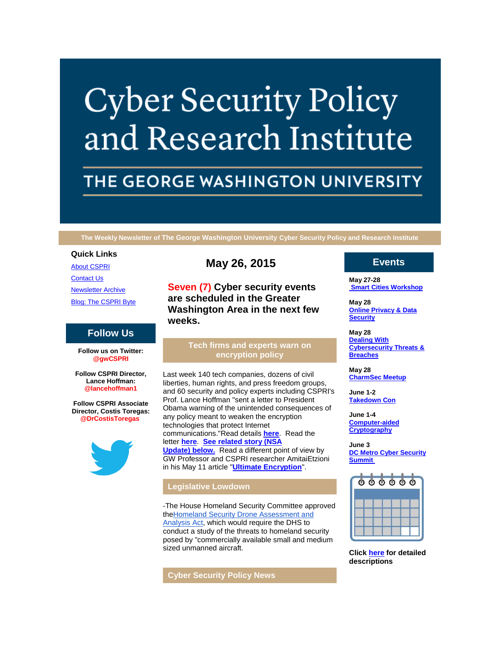# **Cyber Security Policy** and Research Institute

# THE GEORGE WASHINGTON UNIVERSITY

**The Weekly Newsletter of The George Washington University Cyber Security Policy and Research Institute**

#### **Quick Links**

[About CSPRI](http://r20.rs6.net/tn.jsp?e=001ChpDwNANMqTQdR9PXrdGiuZgr5Antf5l8RLjmKbjz41hQRvnDMbY8fvkiAu48Gw4FUf2nXAH_YBLc-ila-dvSvjOMZon013Ii-M80fzDcNHA-yE9n6FRTJu_Gwvw8mlq)

[Contact Us](http://r20.rs6.net/tn.jsp?e=001ChpDwNANMqTQdR9PXrdGiuZgr5Antf5l8RLjmKbjz41hQRvnDMbY8fvkiAu48Gw4FUf2nXAH_YBLc-ila-dvSvjOMZon013Ii-M80fzDcNEev44u_ZELOcJZytTgXg99IzrMEXOnhc4=)

[Newsletter Archive](http://r20.rs6.net/tn.jsp?e=001ChpDwNANMqTQdR9PXrdGiuZgr5Antf5l8RLjmKbjz41hQRvnDMbY8fvkiAu48Gw4FUf2nXAH_YBLc-ila-dvSvjOMZon013Ii-M80fzDcNHEWiDeGm6SfdnES7SC-5FUxtYIaUmm8Rs=)

[Blog: The CSPRI Byte](http://r20.rs6.net/tn.jsp?e=001ChpDwNANMqTQdR9PXrdGiuZgr5Antf5l8RLjmKbjz41hQRvnDMbY8fvkiAu48Gw4FUf2nXAH_YBLc-ila-dvSvjOMZon013Ii-M80fzDcNHAp4a_HPUA6sGId7f-pn3H)

# **Follow Us**

**Follow us on Twitter: @gwCSPRI**

**Follow CSPRI Director, Lance Hoffman: @lancehoffman1**

**Follow CSPRI Associate Director, Costis Toregas: @DrCostisToregas**



# **May 26, 2015**

**Seven (7) Cyber security events are scheduled in the Greater Washington Area in the next few weeks.**

#### **Tech firms and experts warn on encryption policy**

Last week 140 tech companies, dozens of civil liberties, human rights, and press freedom groups, and 60 security and policy experts including CSPRI's Prof. Lance Hoffman "sent a letter to President Obama warning of the unintended consequences of any policy meant to weaken the encryption technologies that protect Internet communications."Read details **[here](http://r20.rs6.net/tn.jsp?e=001ChpDwNANMqTQdR9PXrdGiuZgr5Antf5l8RLjmKbjz41hQRvnDMbY8fvkiAu48Gw4FUf2nXAH_YDIiIQNNK1wYQq7AOZZS1DZgAS7QoP2MoZcHibea6UFfQrxxZtUVpar5x76rLJrfZXHnRFAoTgAPQ0UymsdF-7RPrd_v8ZJK6vnMw8A-6NvInFT2PiA17ojLp3JfpPErDqQKTuobUhJCn2fvPOX91aev6BZUMO8xT2R_ANBqTEScRCVzH2Fcf4al8srz3FIwvdYKWg_Zkp20Ba9pY8fmOUZ10YlEYgHaDpDoKDN17DIDD9aBUM3gD0CFFe4xiuYV9lIviObh04qOA==)**. Read the letter **[here](http://r20.rs6.net/tn.jsp?e=001ChpDwNANMqTQdR9PXrdGiuZgr5Antf5l8RLjmKbjz41hQRvnDMbY8fvkiAu48Gw4sLBBPKwkxDYKXi-Xs5M6grDCc1T3yCOOHYrCM53BzGy0e_sy-opbz-UJVWmXoyv9u99nuUuxoYlNgV4dZGozsvFwRigqgZmNePfwoBKJeATkm2BpvjBgSgzQKYCMjepNrIretmmVKq11K3TR0exy1w==)**. **[See related story \(NSA](https://mail.google.com/mail/u/0/?pli=1#14d91dd7444985bf_NSAupdate)  [Update\)](https://mail.google.com/mail/u/0/?pli=1#14d91dd7444985bf_NSAupdate) below.** Read a different point of view by GW Professor and CSPRI researcher AmitaiEtzioni

## **Legislative Lowdown**

-The House Homeland Security Committee approved th[eHomeland Security Drone Assessment and](http://r20.rs6.net/tn.jsp?e=001ChpDwNANMqTQdR9PXrdGiuZgr5Antf5l8RLjmKbjz41hQRvnDMbY8fvkiAu48Gw4FUf2nXAH_YBizk4ezE46v1hLGthimlP3n-V9QZ1MLfvXUqE1h9LxEEOCcWl-FJNBTITZs7VqScQeO6WrYSnDYnrwboTW0Hbj)  [Analysis Act,](http://r20.rs6.net/tn.jsp?e=001ChpDwNANMqTQdR9PXrdGiuZgr5Antf5l8RLjmKbjz41hQRvnDMbY8fvkiAu48Gw4FUf2nXAH_YBizk4ezE46v1hLGthimlP3n-V9QZ1MLfvXUqE1h9LxEEOCcWl-FJNBTITZs7VqScQeO6WrYSnDYnrwboTW0Hbj) which would require the DHS to conduct a study of the threats to homeland security posed by "commercially available small and medium sized unmanned aircraft.

in his May 11 article "**[Ultimate Encryption](http://r20.rs6.net/tn.jsp?e=001ChpDwNANMqTQdR9PXrdGiuZgr5Antf5l8RLjmKbjz41hQRvnDMbY8fvkiAu48Gw4FUf2nXAH_YCuPDktokCns0WvFbXrOYRgznie4ZaYgqQT5HNrMPn4hbVQDv3rFTuqa2OxiwC3-ldQMPFQ34EofthCtPHZzeIE)**".

**Cyber Security Policy News**

# **Events**

**May 27-28 [Smart Cities Workshop](http://r20.rs6.net/tn.jsp?e=001ChpDwNANMqTQdR9PXrdGiuZgr5Antf5l8RLjmKbjz41hQRvnDMbY8fvkiAu48Gw4FUf2nXAH_YBLc-ila-dvSvjOMZon013Ii-M80fzDcNGs2MOQXOcBw4tWaibGxJtJ4Viz3RsWxZc=)**

**May 28 [Online Privacy & Data](http://r20.rs6.net/tn.jsp?e=001ChpDwNANMqTQdR9PXrdGiuZgr5Antf5l8RLjmKbjz41hQRvnDMbY8fvkiAu48Gw4FUf2nXAH_YBLc-ila-dvSvjOMZon013Ii-M80fzDcNGs2MOQXOcBw4tWaibGxJtJ4Viz3RsWxZc=)  [Security](http://r20.rs6.net/tn.jsp?e=001ChpDwNANMqTQdR9PXrdGiuZgr5Antf5l8RLjmKbjz41hQRvnDMbY8fvkiAu48Gw4FUf2nXAH_YBLc-ila-dvSvjOMZon013Ii-M80fzDcNGs2MOQXOcBw4tWaibGxJtJ4Viz3RsWxZc=)**

**May 28 [Dealing With](http://r20.rs6.net/tn.jsp?e=001ChpDwNANMqTQdR9PXrdGiuZgr5Antf5l8RLjmKbjz41hQRvnDMbY8fvkiAu48Gw4FUf2nXAH_YBLc-ila-dvSvjOMZon013Ii-M80fzDcNGs2MOQXOcBw4tWaibGxJtJ4Viz3RsWxZc=)  [Cybersecurity Threats &](http://r20.rs6.net/tn.jsp?e=001ChpDwNANMqTQdR9PXrdGiuZgr5Antf5l8RLjmKbjz41hQRvnDMbY8fvkiAu48Gw4FUf2nXAH_YBLc-ila-dvSvjOMZon013Ii-M80fzDcNGs2MOQXOcBw4tWaibGxJtJ4Viz3RsWxZc=)  [Breaches](http://r20.rs6.net/tn.jsp?e=001ChpDwNANMqTQdR9PXrdGiuZgr5Antf5l8RLjmKbjz41hQRvnDMbY8fvkiAu48Gw4FUf2nXAH_YBLc-ila-dvSvjOMZon013Ii-M80fzDcNGs2MOQXOcBw4tWaibGxJtJ4Viz3RsWxZc=)**

**May 28 [CharmSec Meetup](http://r20.rs6.net/tn.jsp?e=001ChpDwNANMqTQdR9PXrdGiuZgr5Antf5l8RLjmKbjz41hQRvnDMbY8fvkiAu48Gw4FUf2nXAH_YBLc-ila-dvSvjOMZon013Ii-M80fzDcNGs2MOQXOcBw4tWaibGxJtJ4Viz3RsWxZc=)**

**June 1-2 [Takedown Con](http://r20.rs6.net/tn.jsp?e=001ChpDwNANMqTQdR9PXrdGiuZgr5Antf5l8RLjmKbjz41hQRvnDMbY8fvkiAu48Gw4FUf2nXAH_YBLc-ila-dvSvjOMZon013Ii-M80fzDcNGs2MOQXOcBw4tWaibGxJtJ4Viz3RsWxZc=)**

**June 1-4 [Computer-aided](http://r20.rs6.net/tn.jsp?e=001ChpDwNANMqTQdR9PXrdGiuZgr5Antf5l8RLjmKbjz41hQRvnDMbY8fvkiAu48Gw4FUf2nXAH_YBLc-ila-dvSvjOMZon013Ii-M80fzDcNGs2MOQXOcBw4tWaibGxJtJ4Viz3RsWxZc=)  [Cryptography](http://r20.rs6.net/tn.jsp?e=001ChpDwNANMqTQdR9PXrdGiuZgr5Antf5l8RLjmKbjz41hQRvnDMbY8fvkiAu48Gw4FUf2nXAH_YBLc-ila-dvSvjOMZon013Ii-M80fzDcNGs2MOQXOcBw4tWaibGxJtJ4Viz3RsWxZc=)**

**June 3 [DC Metro Cyber Security](http://r20.rs6.net/tn.jsp?e=001ChpDwNANMqTQdR9PXrdGiuZgr5Antf5l8RLjmKbjz41hQRvnDMbY8fvkiAu48Gw4FUf2nXAH_YBLc-ila-dvSvjOMZon013Ii-M80fzDcNGs2MOQXOcBw4tWaibGxJtJ4Viz3RsWxZc=)  [Summit](http://r20.rs6.net/tn.jsp?e=001ChpDwNANMqTQdR9PXrdGiuZgr5Antf5l8RLjmKbjz41hQRvnDMbY8fvkiAu48Gw4FUf2nXAH_YBLc-ila-dvSvjOMZon013Ii-M80fzDcNGs2MOQXOcBw4tWaibGxJtJ4Viz3RsWxZc=)**

|  | $\begin{array}{ccc} \circ & \circ & \circ & \circ & \circ \end{array}$ |  |
|--|------------------------------------------------------------------------|--|
|  |                                                                        |  |
|  |                                                                        |  |
|  |                                                                        |  |

**Click [here](http://r20.rs6.net/tn.jsp?e=001ChpDwNANMqTQdR9PXrdGiuZgr5Antf5l8RLjmKbjz41hQRvnDMbY8fvkiAu48Gw4FUf2nXAH_YBLc-ila-dvSvjOMZon013Ii-M80fzDcNGs2MOQXOcBw4tWaibGxJtJWjPuYXoLi0sFwBtLHSlhJA==) for detailed descriptions**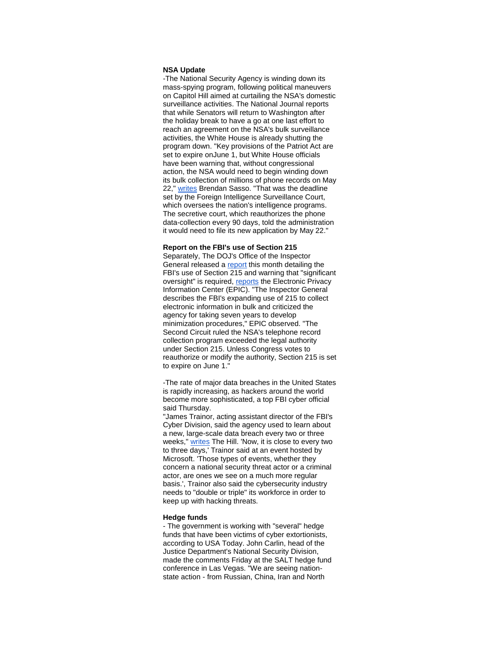#### **NSA Update**

-The National Security Agency is winding down its mass-spying program, following political maneuvers on Capitol Hill aimed at curtailing the NSA's domestic surveillance activities. The National Journal reports that while Senators will return to Washington after the holiday break to have a go at one last effort to reach an agreement on the NSA's bulk surveillance activities, the White House is already shutting the program down. "Key provisions of the Patriot Act are set to expire onJune 1, but White House officials have been warning that, without congressional action, the NSA would need to begin winding down its bulk collection of millions of phone records on May 22," [writes](http://r20.rs6.net/tn.jsp?e=001ChpDwNANMqTQdR9PXrdGiuZgr5Antf5l8RLjmKbjz41hQRvnDMbY8fvkiAu48Gw4FUf2nXAH_YAeC01eXXaGPF9UUJyd7HeK1BrCbxDqur93VxNKLqnhQqKOuThq4S_-LGhTbLb-Rhm0wbOm_OR5y5-B5-_xkVVleI0bCI51OayGOSxFeqLBRmfC3CsEMUvK) Brendan Sasso. "That was the deadline set by the Foreign Intelligence Surveillance Court, which oversees the nation's intelligence programs. The secretive court, which reauthorizes the phone data-collection every 90 days, told the administration it would need to file its new application by May 22."

#### **Report on the FBI's use of Section 215**

Separately, The DOJ's Office of the Inspector General released a [report](http://r20.rs6.net/tn.jsp?e=001ChpDwNANMqTQdR9PXrdGiuZgr5Antf5l8RLjmKbjz41hQRvnDMbY8fvkiAu48Gw4sLBBPKwkxDYdiljCaDsmJ0-hyjI8tcVaUDSyAcAjZBk9EqXTikJTgx10YPoNhMCBqHWqoMXlWu0=) this month detailing the FBI's use of Section 215 and warning that "significant oversight" is required, [reports](http://r20.rs6.net/tn.jsp?e=001ChpDwNANMqTQdR9PXrdGiuZgr5Antf5l8RLjmKbjz41hQRvnDMbY8fvkiAu48Gw4sLBBPKwkxDYhya03nkyoVzvzff158Fd0z2U1rm6jKm2Uz_OFLvEr9VK9T1t5IvGbkI3KB9tIBxJSfNnDpDGloPcdDaEDR9bk) the Electronic Privacy Information Center (EPIC). "The Inspector General describes the FBI's expanding use of 215 to collect electronic information in bulk and criticized the agency for taking seven years to develop minimization procedures," EPIC observed. "The Second Circuit ruled the NSA's telephone record collection program exceeded the legal authority under Section 215. Unless Congress votes to reauthorize or modify the authority, Section 215 is set to expire on June 1."

-The rate of major data breaches in the United States is rapidly increasing, as hackers around the world become more sophisticated, a top FBI cyber official said Thursday.

"James Trainor, acting assistant director of the FBI's Cyber Division, said the agency used to learn about a new, large-scale data breach every two or three weeks," [writes](http://r20.rs6.net/tn.jsp?e=001ChpDwNANMqTQdR9PXrdGiuZgr5Antf5l8RLjmKbjz41hQRvnDMbY8fvkiAu48Gw4FUf2nXAH_YAqbQVSBAkXkpYLgxDsgs8eiv65CtVgYrU2qj-xnWgpoTKbFYfTRBA8HPtz5n-kw4UVmVLQbrRFWZOZvy2h8b5KgO3E2yxPtJXeCjMEXUoaP5Yz51b4jSvjF8YtLlwdkseo2OOE0HYZdw==) The Hill. 'Now, it is close to every two to three days,' Trainor said at an event hosted by Microsoft. 'Those types of events, whether they concern a national security threat actor or a criminal actor, are ones we see on a much more regular basis.', Trainor also said the cybersecurity industry needs to "double or triple" its workforce in order to keep up with hacking threats.

#### **Hedge funds**

- The government is working with "several" hedge funds that have been victims of cyber extortionists, according to USA Today. John Carlin, head of the Justice Department's National Security Division, made the comments Friday at the SALT hedge fund conference in Las Vegas. "We are seeing nationstate action - from Russian, China, Iran and North